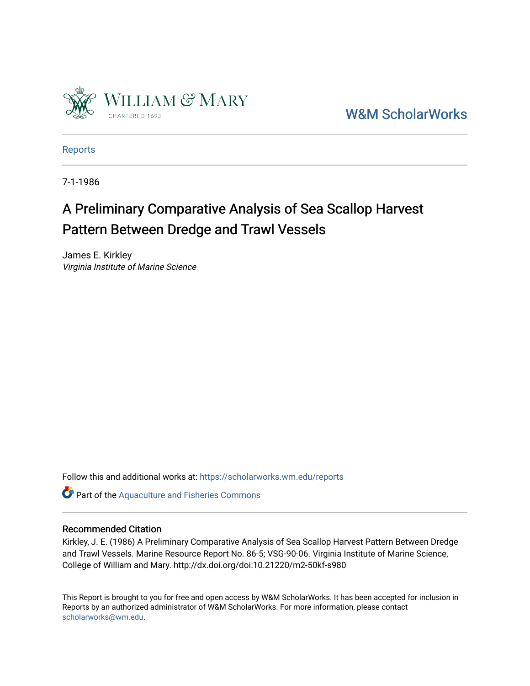

[W&M ScholarWorks](https://scholarworks.wm.edu/) 

[Reports](https://scholarworks.wm.edu/reports)

7-1-1986

# A Preliminary Comparative Analysis of Sea Scallop Harvest Pattern Between Dredge and Trawl Vessels

James E. Kirkley Virginia Institute of Marine Science

Follow this and additional works at: [https://scholarworks.wm.edu/reports](https://scholarworks.wm.edu/reports?utm_source=scholarworks.wm.edu%2Freports%2F1578&utm_medium=PDF&utm_campaign=PDFCoverPages)

**Part of the [Aquaculture and Fisheries Commons](http://network.bepress.com/hgg/discipline/78?utm_source=scholarworks.wm.edu%2Freports%2F1578&utm_medium=PDF&utm_campaign=PDFCoverPages)** 

#### Recommended Citation

Kirkley, J. E. (1986) A Preliminary Comparative Analysis of Sea Scallop Harvest Pattern Between Dredge and Trawl Vessels. Marine Resource Report No. 86-5; VSG-90-06. Virginia Institute of Marine Science, College of William and Mary. http://dx.doi.org/doi:10.21220/m2-50kf-s980

This Report is brought to you for free and open access by W&M ScholarWorks. It has been accepted for inclusion in Reports by an authorized administrator of W&M ScholarWorks. For more information, please contact [scholarworks@wm.edu.](mailto:scholarworks@wm.edu)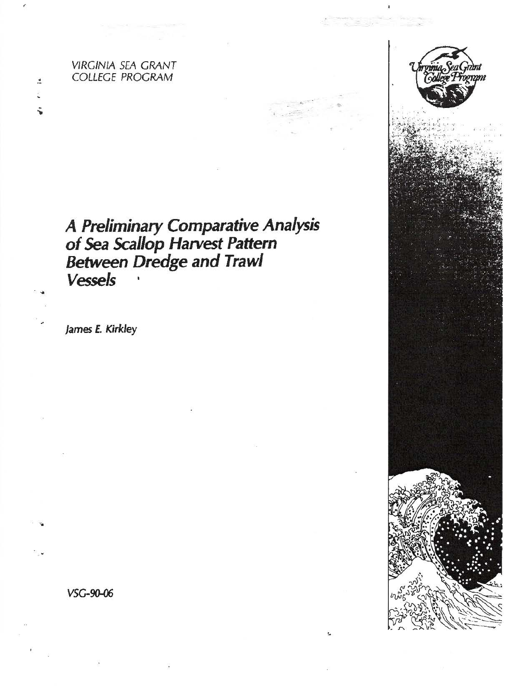**VIRGINIA SEA GRANT COLLEGE PROGRAM** 

 $\mathbf{r}$ 

# A Preliminary Comparative Analysis<br>of Sea Scallop Harvest Pattern<br>Between Dredge and Trawl **Vessels**

James E. Kirkley

VSG-90-06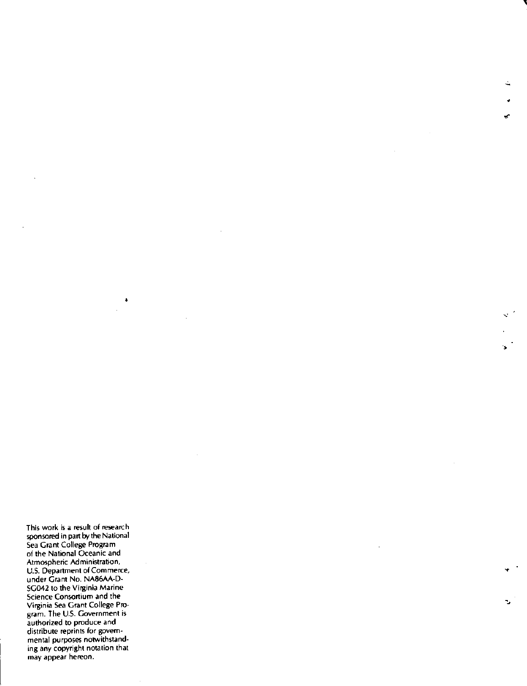This work is a resuh of research sponsored in part by the National Sea Grant College Program of the National Oceanic and Atmospheric Administration, U.S. Department of Commerce, under Grant No. NA86AA-D-SG042 to the Virginia Marine Science Consortium and the Virginia Sea Grant College Program. The U.S. Government is authorized to produce and distribute reprints for governmental purposes notwithstanding any copyright notation that may appear hereon.

'<br>'

•

'

•

•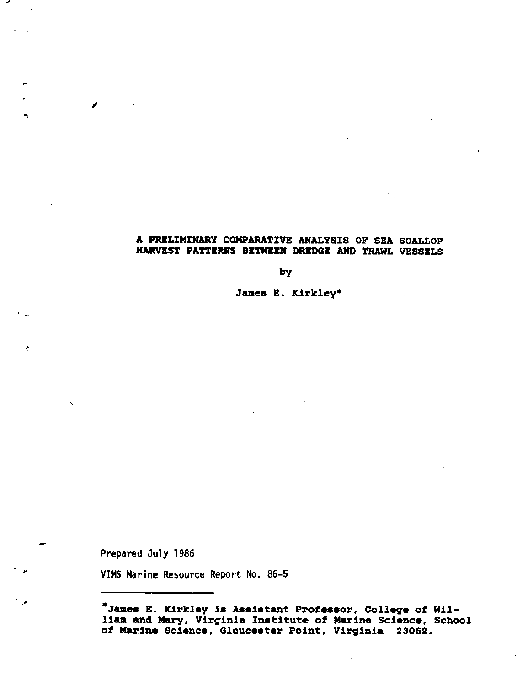## A PRELIMINARY COMPARATIVE ANALYSIS OF SEA SCALLOP HARVEST PATTERNS BETWEEN DREDGE AND TRAWL VESSELS

by

James E. Kirkley•

Prepared July 1986

 $\epsilon$ 

 $\Box$ 

◢

-·

VIMS Marine Resource Report No. 86-5

**\*James** I. Kirkley is Assistant Professor, College of William and Mary, Virginia Institute of Marine Science, School of Marine Science, Gloucester Point, Virginia 23062.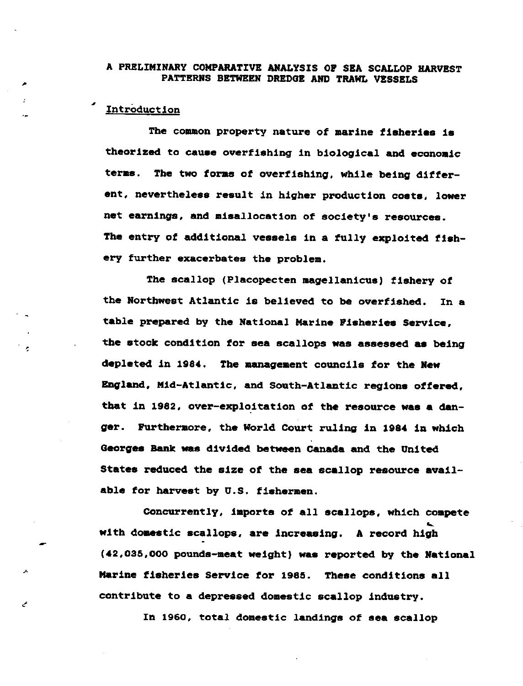#### A PRELIMINARY COMPARATIVE ANALYSIS OP SBA SCALLOP HARVEST PATTERNS BETWEEN DREDGE AND TRAWL VESSELS

#### *-1* **Intr0duct1on**

,

'

The common property nature of marine **fisheries ia**  theorized to **cauae** overfishing in biological and economic terms. The two forms of overfishing, while being differ**ent, nevertheless result in higher production coete, lower net earnings, and misallocation of society's resources.**  The entry of additional vessels in a fully exploited fish**ery further exacerbates the problem.** 

The scallop (Placopecten magellanicus) fishery of the Northwest Atlantic is believed to be overfished, In a table prepared by the National Marine Fisheries Service. the stock condition for sea scallops was assessed **aa** being depleted in 1984. The management councils for the New England, Mid-Atlantic, and South-Atlantic regions offered, that in 1982, over-explo.itation of the resource **was a** danger. Furthermore, the World Court ruling in 1984 in which Georges Bank waa divided between Canada and the United States reduced the size of the sea scallop resource available for harvest by U.S. fishermen.

concurrently, imports of all scallope, which compete with domestic scallops, are increasing. A record high c,2,035,000 pounds-meat weight) **was** reported by the Rational Marine fisheries Service for 1985. These conditions all contribute to **a** depressed domestic scallop industry.

In 1960, total domestic landings of **sea** scallop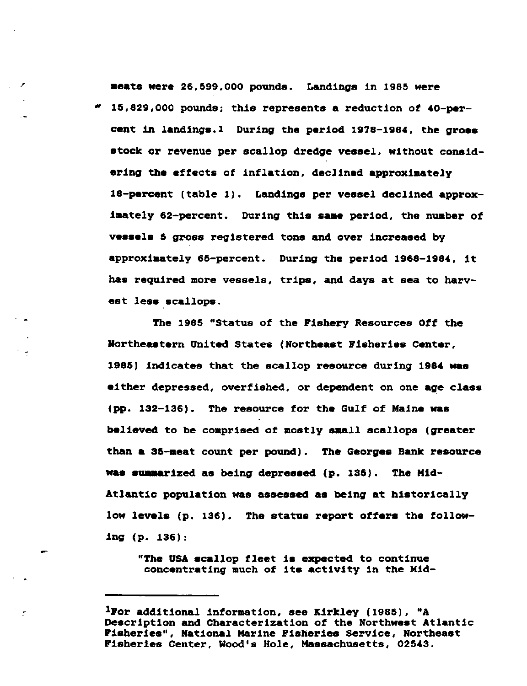**meats** were 26,599,000 pounds. Landings in 1985 were • 15,829,000 pounds; this represents **a** reduction of 40-parcent in landings.1 During the period 1978-1984, the **gross**  stock or revenue per scallop dredge **vessel,** without considering the effects of inflation, declined approximately 18-parcent (table 1). Landings per vessel declined approximately 62-percent. During this **saae** period, the number of **veaaela 5 gross registered tone and over increased by**  approximately 65-percent. During the period 1968-1984, it **has required more vessels, trips, and days at sea to harv**est less scallops.

The 1985 "Status of the Fishery Resources Off the Northeastern United States (Northeast Fisheries Center, 1985) indicates that the scallop resource during 1984 was either depressed, overfished, or dependent on one **age** class (pp. 132-136). The resource for the Gulf of Maine was believed to be comprised of aostly small scallops (greater than **a** 35-meat count per pound). The Georges Bank resource waa suaaarized as being depreesed (p. 135). The Mid-Atlantic population was assessed as being at historically low levels (p. 136). The status report offers the following (p. 136):

"The USA scallop fleet is expected to continue concentrating much of its activity in the Mid-

<sup>1</sup>For additional information, see Kirkley (1985), "A Description and Characterization of the Northwest Atlantic Fisheries", National Marine Fisheries Service, Northeast Fisheries Center, Wood's Hole, Massachusetts, 02543.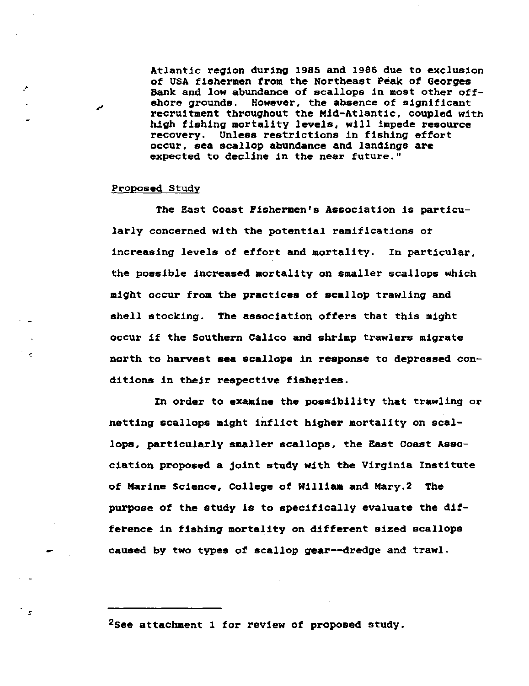Atlantic region during 1985 and 1986 due to exclusion **of USA fishermen from the Northeast Peak of Georges Bank and low abundance of scallops in most other offshore grounds. However, the absence of significant**  recruitment throughout the Mid-Atlantic, coupled with high fishing mortality levels, will impede resource recovery. **Unless** restrictions in fishing effort **occur, sea scallop abundance and landings are expected to decline in the near future."** 

#### **Proposed Study**

,,

.•

**The East Coast Fishermen's Association is particu**larly concerned with the potential ramifications of **increasing levels of effort and mortality. In particular,**  the possible **increased** mortality on smaller scallops which **might occur from the practices of scallop trawling and**  shell stocking. The association offers that this might occur if the southern Calico and shrimp trawlers migrate **north to harvest sea scallops in response to depressed con**ditions in their respective **fisheries.** 

In order to **examine** the possibility that trawling or netting scallops might inflict higher mortality on scallops, particularly smaller scallops, the East Coast Association proposed a joint study with the Virginia Institute of Marine Science, College of William and Mary.2 The purpose of the study is to specifically evaluate the difference in fishing mortality on different sized scallops caused by two types of scallop gear--dredge and trawl.

**2see attachment 1 for review of proposed study.**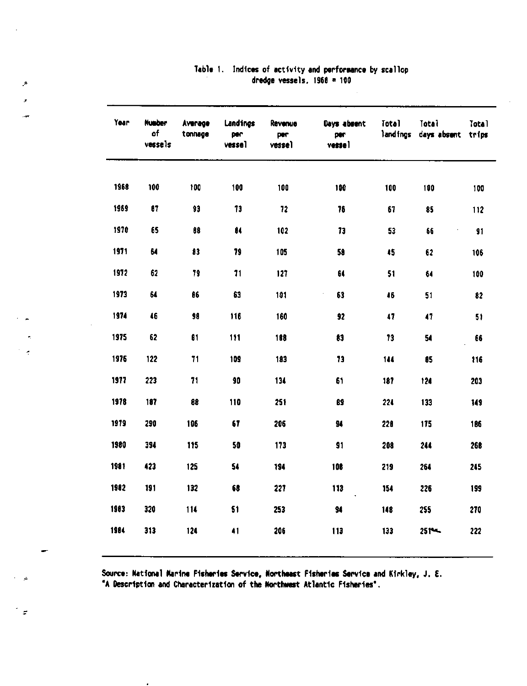| Year | <b>Number</b><br>of<br>vessels | Average<br>tonnage | Landings<br>per<br>vessel | Revenue<br>per<br>vesse) | Days absent<br>per<br>vessel | <b>Total</b><br>landings | Total<br>days absent | Total<br>trips |
|------|--------------------------------|--------------------|---------------------------|--------------------------|------------------------------|--------------------------|----------------------|----------------|
| 1968 | 100                            | 100                | 100                       | 100                      | 100                          | 100                      | 100                  | 100            |
| 1969 | 87                             | 93                 | 73                        | 72                       | 76                           | 67                       | 85                   | 112            |
| 1970 | 65                             | 88                 | 84                        | 102                      | 73                           | 53                       | 66                   | 91             |
| 1971 | 64                             | 83                 | 79                        | 105                      | 58                           | 45                       | 62                   | 106            |
| 1972 | 62                             | 79                 | 71                        | 127                      | 64                           | 51                       | 64                   | 100            |
| 1973 | 64                             | 86                 | 63                        | 101                      | 63                           | 46                       | 51                   | 82             |
| 1974 | 46                             | 98                 | 116                       | 160                      | 92                           | 47                       | $\bullet$            | 51             |
| 1975 | 62                             | 61                 | 111                       | 188                      | 83                           | 73                       | 54                   | 66             |
| 1976 | 122                            | 71                 | 109                       | 183                      | 73                           | 144                      | 85                   | 116            |
| 1977 | 223                            | 71                 | 90                        | 134                      | 61                           | 187                      | 124                  | 203            |
| 1978 | 187                            | 88                 | 110                       | 251                      | 89                           | 224                      | 133                  | 149            |
| 1979 | 290                            | 106                | 67                        | 206                      | 94                           | 228                      | 175                  | 186            |
| 1980 | 394                            | 115                | 50                        | 173                      | 91                           | 208                      | 244                  | 268            |
| 1981 | 423                            | 125                | 54                        | 194                      | 108                          | 219                      | 264                  | 245            |
| 1982 | 191                            | 132                | 68                        | 227                      | 113                          | 154                      | 226                  | 199            |
| 1983 | 320                            | 114                | 51                        | 253                      | 94                           | 148                      | 255                  | 270            |
| 1984 | 313                            | 124                | 41                        | 206                      | 113                          | 133                      | $251 -$              | 222            |
|      |                                |                    |                           |                          |                              |                          |                      |                |

# Table 1. Indices of activity and performance by scallop dredge vessels.  $1968 = 100$

Source: National Marine Fisheries Service, Northeast Fisheries Service and Kirkley, J. E. "A Description and Characterization of the Northwest Atlantic Fisheries".

 $\hat{\mathcal{F}}$ 

 $\overline{a}$ 

−.

 $\tilde{\mathbf{r}}$  $\mathcal{A}$ 

 $\mathbf{d}$ 

 $\mathbb{Z}^2$ 

 $\overline{a}$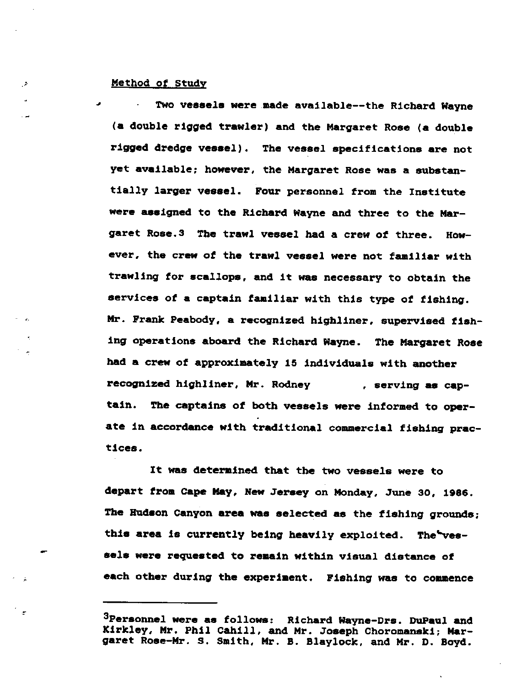#### ., Method of Study

**A** 

Two vessels were made available--the Richard Wayne **(a** double rigged trawler) and the Margaret Rose **(a** double rigged dredge **vessel).** The vessel specifications **are** not **yet available; however, the Margaret Rose was a substan**tially larger **vessel.** Four personnel from the Institute were assigned to the Richard Wayne and three to the Margaret Rose.3 The trawl vessel had a crew of three. However, the crew of the trawl vessel were not familiar with trawling for scallops, and it was necessary to obtain the services of a captain familiar with this type of fishing. Mr. Frank Peabody, a recognized highliner, supervised fishing operations aboard the Richard Wayne. The Margaret Rose had a crew of approximately 15 individuals with another recognized highliner, Mr. Rodney , **serving ae cap**tain. The captains of both vessels were informed to operate in accordance with traditional commercial fishing prac**tices.** 

It was determined that the two vessels were to depart from cape May, Hew 3eraey on Monday, 3une 30, 1986. The Hudson Canyon area was selected as the fishing grounds; this area is currently being heavily exploited. The vesaela were requested to remain within visual distance of each other during the experiment. Fishing was to commence

<sup>3</sup>Personnel were as follows: Richard Wayne-Drs. DuPaul and Kirkley, Mr. Phil Cahill, and Mr. 3oaeph Choromanaki; Margaret Rose-Mr. s. Smith, Mr. B. Blaylock, and Mr. D. Boyd.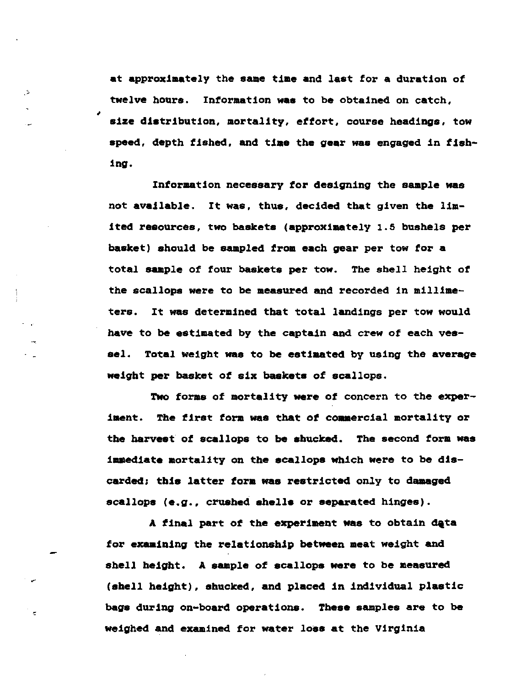at approximately the same time and last for a duration of twelve hours. Information **was** to be obtained on catch, **size** distribution, mortality, effort, course headings, tow **speed,** depth fished, and **time** the **gear was** engaged in fishing.

,

- 2

'

Information necessary *tor* designing the sample was not available. It was, thus, decided that given the limited resources, two baskets (approximately 1.5 bushels per basket) should be sampled from each gear per tow for **a**  total sample of four baskets per tow. The shell height of the scallops were to be measured and recorded in millimeters. It was determined that total landings per tow would have to be estimated by the captain and crew of each vessel. Total weight was to be estimated by using the **average**  weight per basket of six baskets of scallops.

Two forms of mortality were of concern to the experiment. The first form was that of commercial mortality or the harvest *ot* scallops to be shucked. The second form was **immediate** mortality on the scallops Which were to be discarded; this latter form was restricted only to damaged scallops **(e.g.,** crushed shells or **separated** hinges).

A final part of the experiment was to obtain data for examining the relationship between meat weight and shell height. A sample of scallops were to be measured (shell height), shucked, and placed in individual plastic bags during on-board operations. These samples are to be weighed and examined for water loss at the Virginia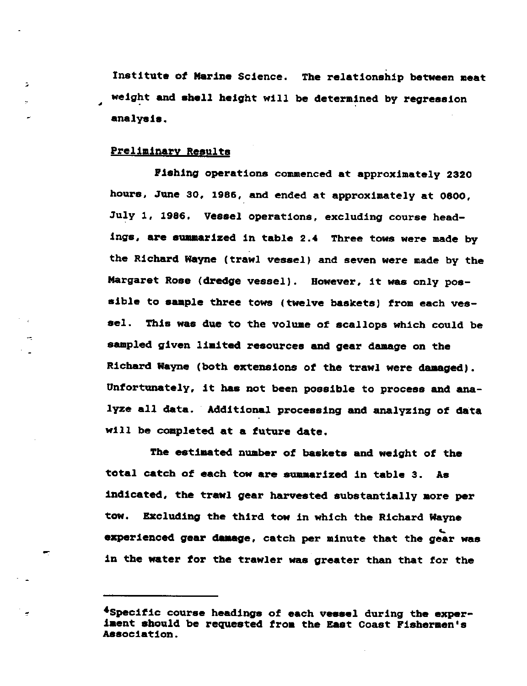Institute of Marine Science. The relationship between **meat**  weight and shell height will be determined by regression **analysis.** 

#### Preliminary **Results**

,

 $\geq$ 

**Piahing** operations commenced at approximately 2320 **hours, June** 30, **1986, and ended at approximately at 0800,**  July 1, 1986. **Veesel** operations, excluding course headings, are summarized in table 2.• Three tows were made by the Richard Wayne (trawl vessel) and seven were made by the Margaret Rose (dredge vessel). However, it was only possible to sample three tows (twelve baskets) from each vessel. This was due to the volume of scallops which could be sampled given limited resources and gear damage on the Richard Wayne (both extensions of the trawl were damaged). Unfortunately, it **has** not been possible to process and analyze all data. Additional processing and analyzing of data will be completed at a future date.

The estimated number of baskets and weight of the total catch of each tow are summarized in table 3. As indicated, the trawl gear harvested substantially more per tow. Excluding the third tow in which the Richard Wayne experienced gear damage, catch per minute that the gear was in the water for the trawler was greater than that for the

<sup>•</sup>specific course headings of each vessel during the experiaent should be requested from the East Coast Pisheraen's Association.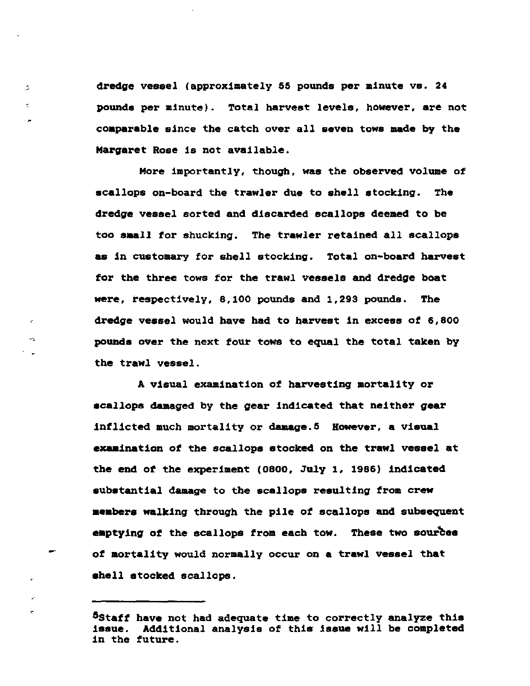<sup>0</sup>dredge vessel (approximately 55 pounds per minute vs. 24 **pounds per minute). Total harvest levels, however, are not coaparable** since the catch over all seven tows made by the Margaret Rose is not available.

. A

r.

More importantly, though, was the observed volume of scallops on-board the trawler due to shell stocking. The dredge vessel sorted and discarded scallops deemed to be too **saall** for shucking. The trawler retained all scallops as in customary for shell stocking. Total on-board harvest for the three tows for the trawl **vessels** and dredge boat **were,** respectively, 8,100 pounds and 1,293 pounds. The **dredge veasel would have had to harvest in excess ot 6,800**  pounds over the next tour towa to equal the total taken by the trawl vessel.

A visual examination of harvesting mortality or scallops damaged by the gear indicated that neither gear **inflicted much mortality or damage.5 However, a visual exaaination** of the scallops stocked on the trawl vessel at the end of the experiment (0800, July 1, 1986) indicated substantial damage to the scallops resulting from crew **aeabers** walking through the pile of scallops and subsequent emptying of the scallops from each tow. These two sources of mortality would normally occur on **a** trawl vessel that shell stocked scallops.

Sstaff **have** not had adequate time to correctly analyze this **issue.** Additional analysis of this **issue** will be completed in the future.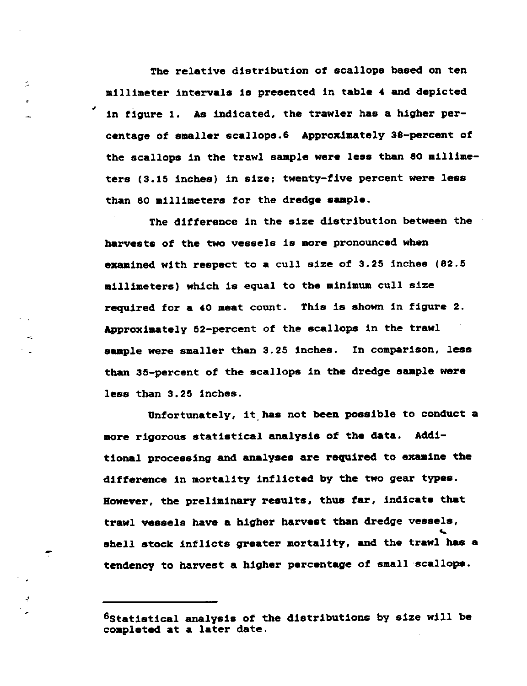The relative distribution of scallops based on ten millimeter intervals is presented in table **4** and depicted in figure 1. As indicated, the trawler **has a** higher percentage of smaller acallopa.6 Approximately 38-percent of the scallops in the trawl sample **were leas** than 80 **millime**ters (3.15 inches) in size: twenty-five percent were **leas**  than 80 millimeters for the dredge **sample.** 

,

Ċ,

The difference in the size distribution between the **harvests of the two vessels is more pronounced when**  examined with respect to **a** cull size of 3.25 inches (82.5 millimeters) which is equal to the **minimum** cull size required for **a** 40 meat count. This is shown in figure 2. Approximately 52-percent of the scallops in the trawl sample were smaller than 3.25 inches. In comparison, less than 35-percent of the scallops in the dredge sample were less than 3.25 inches.

Unfortunately, it.has not been possible to conduct a more rigorous statistical analysis of the data. Additional processing and analyses are required to examine the difference in mortality inflicted by the two gear types. However, the preliminary results, thus far, indicate that trawl vessels have a higher harvest than dredge vessels,<br>shell stock inflicts greater mortality, and the trawl has a tendency to harvest a higher percentage of small scallops.

<sup>&</sup>lt;sup>6</sup>Statistical analysis of the distributions by size will be completed at a later date.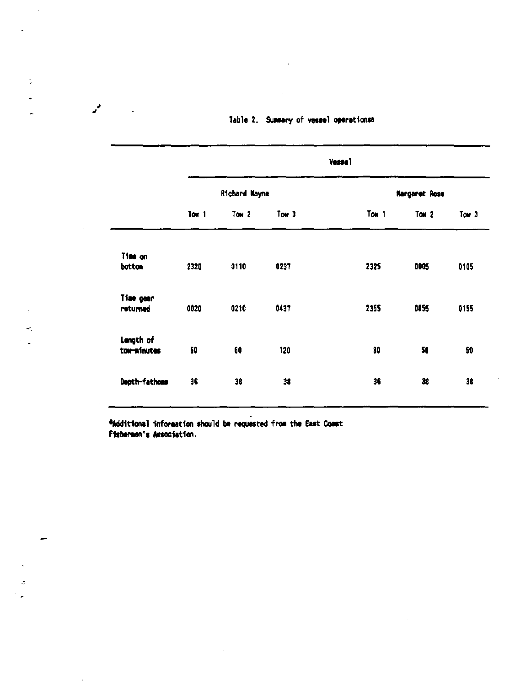|                          |                  |               |                  | <b>Vessal</b> |               |       |
|--------------------------|------------------|---------------|------------------|---------------|---------------|-------|
|                          |                  | Richard Wayne |                  |               | Margaret Rose |       |
|                          | Tom <sub>1</sub> | Tow $2$       | Tow <sub>3</sub> | Tom 1         | Tow $2$       | Tow 3 |
| Time on<br>bottom        | 2320             | 0110          | 0237             | 2325          | 0005          | 0105  |
| Time gear<br>returned    | 0020             | 0210          | 0437             | 2355          | 0055          | 0155  |
| Langth of<br>tow-minutes | 60               | 60            | 120              | 30            | 50            | 50    |
| Depth-fathoes            | 36               | 38            | 38               | 36            | 38            | 38    |

# Table 2. Summary of vessel operationsa

additional information should be requested from the East Coast Fishermen's Association.

 $\ddot{\phantom{a}}$ 

 $\ddot{\phantom{a}}$ 

 $\sigma$ ú.

 $\mathbf{r}$ 

 $\mathcal{L}^{\pm}$ 

 $\mathcal{L}_{\mathcal{A}}$ 

 $\div$  $\sim$   $\mu$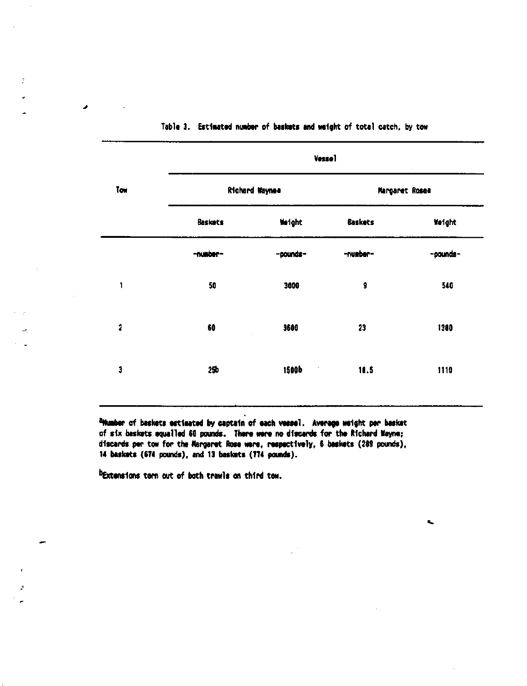|                         | Vesse1          |                |                |                |  |  |
|-------------------------|-----------------|----------------|----------------|----------------|--|--|
| Tow                     |                 | Richard Waynee |                | Margaret Rosea |  |  |
|                         | <b>Baskets</b>  | Weight         | <b>Baskets</b> | Weight         |  |  |
|                         | -number-        | -pounds-       | -number-       | -pounds-       |  |  |
| 1                       | 50              | 3000           | $\pmb{9}$      | 540            |  |  |
| $\overline{\mathbf{c}}$ | 60              | 3600           | 23             | 1380           |  |  |
| 3                       | 25 <sub>b</sub> | 1500b          | 10.5           | 1110           |  |  |

Table 3. Estimated number of baskets and weight of total catch, by tow

<sup>a</sup>Number of baskets estimated by captain of each vessel. Average weight per basket of six baskets equalled 60 pounds. There were no discards for the Richard Nayne; discards per tow for the Margaret Rose were, respectively, 6 baskets (289 pounds), 14 baskets (674 pounds), and 13 baskets (774 pounds).

bExtensions torn out of both trawls on third tow.

÷

÷,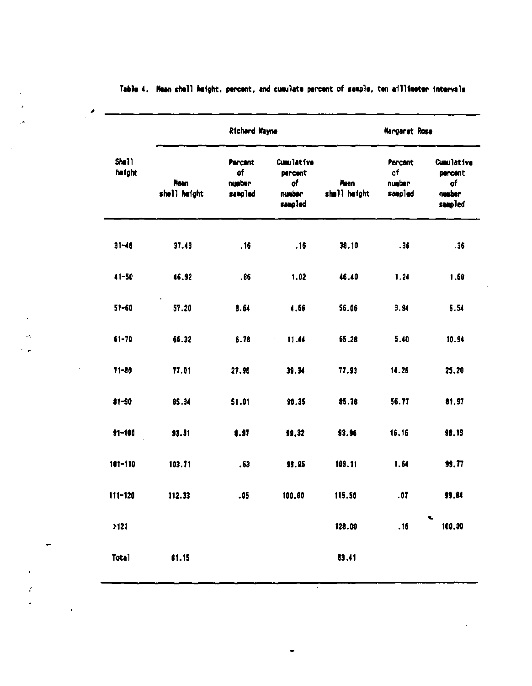|                 |                             | Richard Wayne                      |                                                  | Margaret Rose        |                                    |                                                         |  |
|-----------------|-----------------------------|------------------------------------|--------------------------------------------------|----------------------|------------------------------------|---------------------------------------------------------|--|
| Shell<br>height | <b>Nean</b><br>shell height | Percent<br>of<br>number<br>sampled | Cumulative<br>percent<br>of<br>number<br>sampled | Mean<br>shell height | Percent<br>of<br>number<br>sampled | <b>Cumulative</b><br>percent<br>of<br>number<br>sampled |  |
| $31 - 40$       | 37.43                       | .16                                | .16                                              | 38.10                | .36                                | .36                                                     |  |
| $41 - 50$       | 46.92                       | .66                                | 1.02                                             | 46.40                | 1.24                               | 1.60                                                    |  |
| $51 - 60$       | 57.20                       | 3.64                               | 4.66                                             | 56.06                | 3.94                               | 5.54                                                    |  |
| $61 - 70$       | 66.32                       | 6.78                               | 11.44                                            | 65.28                | 5.40                               | 10.94                                                   |  |
| $71 - 80$       | 77.01                       | 27.90                              | 39.34                                            | 77.93                | 14.26                              | 25.20                                                   |  |
| $81 - 90$       | 85.34                       | 51.01                              | 90.35                                            | 85.78                | 56.77                              | 81.97                                                   |  |
| $91 - 100$      | 93.31                       | 8.97                               | 99.32                                            | 93.96                | 16.16                              | 98.13                                                   |  |
| $101 - 110$     | 103.71                      | .63                                | 99.95                                            | 103.11               | 1.64                               | 99.77                                                   |  |
| $111 - 120$     | 112.33                      | .05                                | 100.00                                           | 115.50               | .07                                | <b>99.84</b>                                            |  |
| >121            |                             |                                    |                                                  | 128.00               | .16                                | 100.00                                                  |  |
| <b>Total</b>    | 61.15                       |                                    |                                                  | 13.41                |                                    |                                                         |  |

Table 4. Mean shall height, percent, and cumulate percent of sample, ten aillimeter intervals

 $\mathbb{R}^2$ 

 $\overline{a}$ 

 $\mathcal{I}$ 

٠

77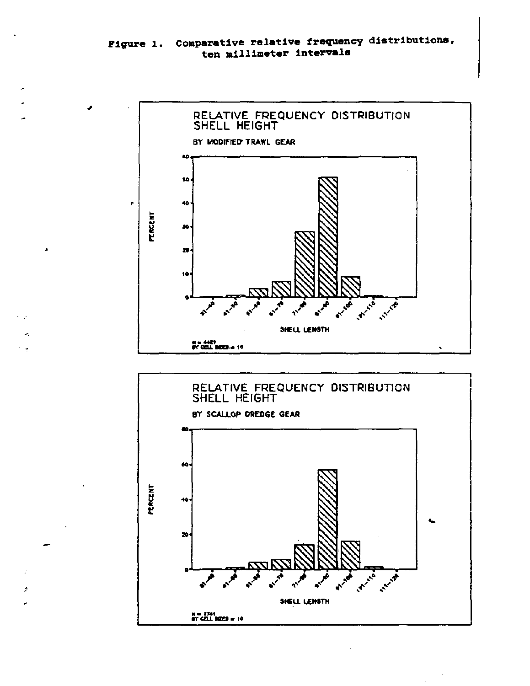



 $\overline{\phantom{a}}$ 

÷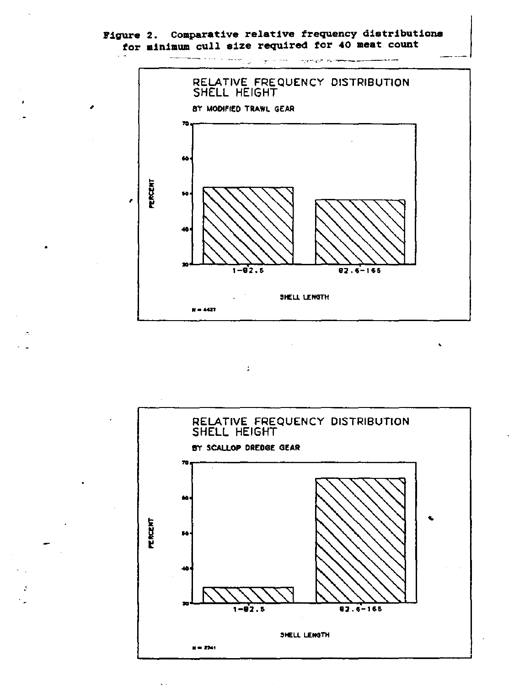# Figure 2. Comparative relative frequency distributions for minimum cull size required for 40 meat count



 $\ddot{\cdot}$ 

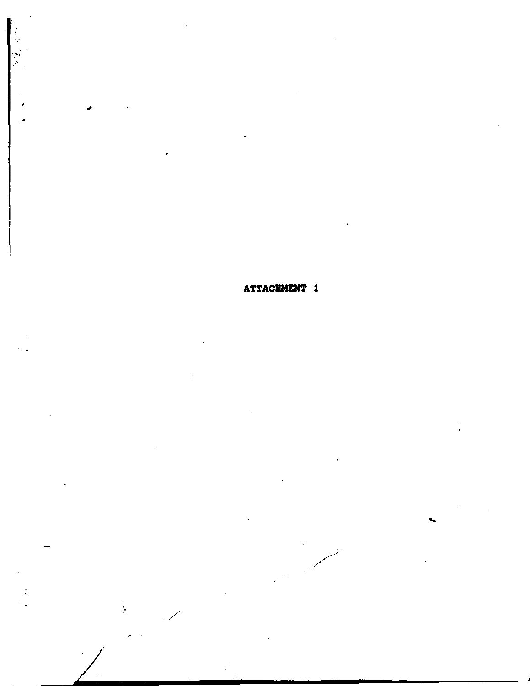ATTACHMENT 1

Ä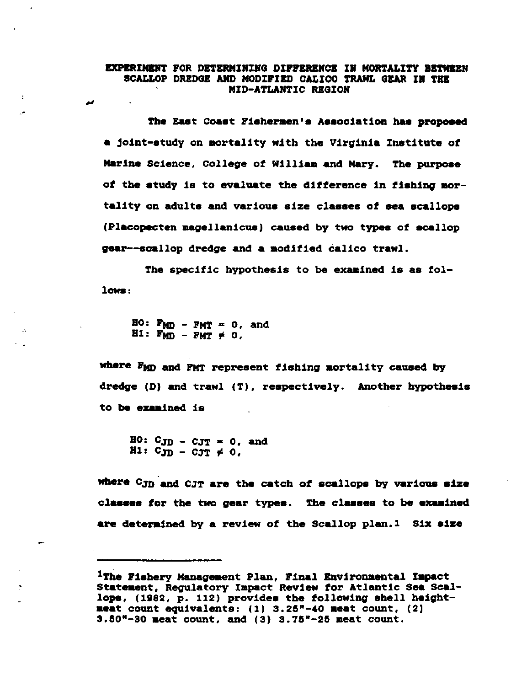#### **EXPERIMENT FOR DETERMINING DIFFERENCE IN MORTALITY BETWEEN** SCALLOP DREDGE AND MODIFIED CALICO TRAWL GEAR IN THE MID-ATLANTIC REGION

The East Coast Fishermen's Association has proposed **a** joint-study an aartality with the Virginia Institute of **Marine** Science, College of IUlliaa and Mary. The **purpose**  of the study is ta evaluate the difference in **fishing** mortality on adults and various size classes of sea scallops (Placapecten magellanicue) caused by two types of scallop gear--scallap dredge and a modified calico trawl.

The specific hypothesis to be examined is as follows:

 $HO: F_{MD} - FMT = 0$ , and  $H1: F_{MD} - FMT \neq 0$ ,

.•

مد

 $\mathbf{f}% _{0}$ 

where FMD and FMT represent fishing mortality caused by dredge  $(D)$  and trawl  $(T)$ , respectively. Another hypothesis ta **be exaained** is

 $H0: C_{JD} - C_{JT} = 0$ , and  $H1: CJD - CJT \neq 0$ ,

**wbere** C.JD.and CJT are the catch of scallope by various **size**  classes for the two gear types. The classes to be examined **are determined** by **a** review of the scallop plan.I Six **size** 

<sup>&</sup>lt;sup>1</sup>The Fishery Management Plan, Final Environmental Impact Statement, Regulatory Impact Review for Atlantic Sea scallape, (1982, p. 112) providea the following shell haight**maat** count equivalents: (1) 3.2&"-40 **aeat** count, (2) 3.&0"-30 aeat count, and (3) 3.7&"-2& meat count.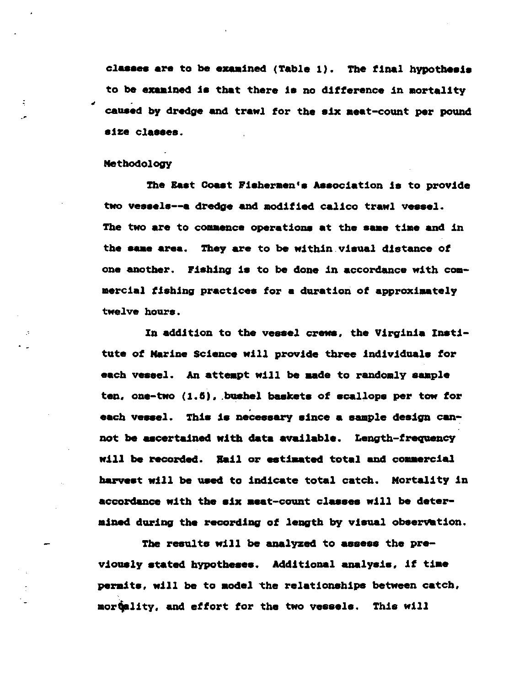classes are to be examined (Table 1). The final hypothesis to be examined is that there is no difference in mortality caused by dredge and trawl for the six meat-count per pound size classes.

#### Methodology

÷

The East Coast Fishermen's Association is to provide two vessels--a dredge and modified calico trawl vessel. The two are to commence operations at the same time and in the same area. They are to be within visual distance of one another. Fishing is to be done in accordance with commercial fishing practices for a duration of approximately twelve hours.

In addition to the vessel crews, the Virginia Institute of Marine Science will provide three individuals for each vessel. An attempt will be made to randomly sample ten, one-two (1.5), bushel baskets of scallops per tow for each vessel. This is necessary since a sample design cannot be ascertained with data available. Length-frequency will be recorded. Hail or estimated total and commercial harvest will be used to indicate total catch. Mortality in accordance with the six meat-count classes will be determined during the recording of length by visual observation.

The results will be analyzed to assess the previously stated hypotheses. Additional analysis, if time permits, will be to model the relationships between catch, mortality, and effort for the two vessels. This will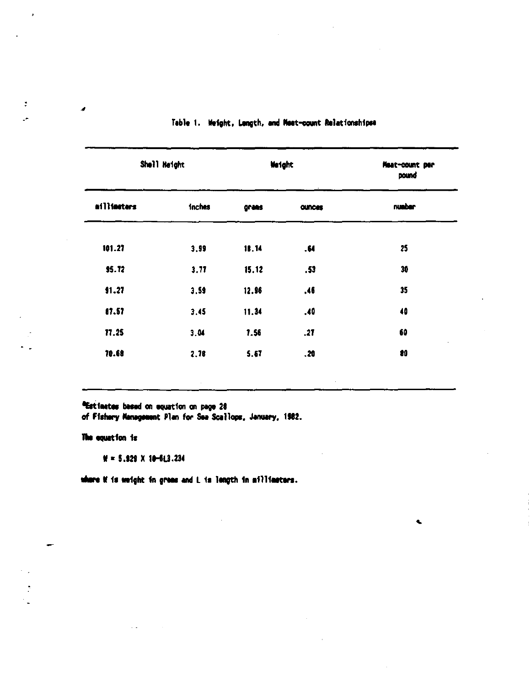| Shell Height |               | <b>We light</b> |               | Meat-count per<br>pound |  |
|--------------|---------------|-----------------|---------------|-------------------------|--|
| ailliseters  | <b>inches</b> | grans           | <b>OURCes</b> | number                  |  |
| 101.27       | 3.99          | 18.14           | .64           | 25                      |  |
| 95.72        | 3.77          | 15.12           | .53           | 30                      |  |
| 91.27        | 3.59          | 12.96           | .46           | 35                      |  |
| 87.57        | 3.45          | 11.34           | .40           | 40                      |  |
| 77.25        | 3.04          | 7.56            | .27           | 60                      |  |
| 70.68        | 2.78          | 5.67            | .20           | 80                      |  |

¢.

#### Table 1. Weight, Langth, and Meat-count Relationshipse

<sup>a</sup>Estimates based on equation on page 28

of Fishery Management Plan for Sea Scallops, January, 1982.

#### The equation is

 $M = 5.929$  X 10-613.234

 $\sim$   $\sim$ 

where if is weight in greas and L is length in ailliaeters.

 $\tilde{\mathcal{I}}$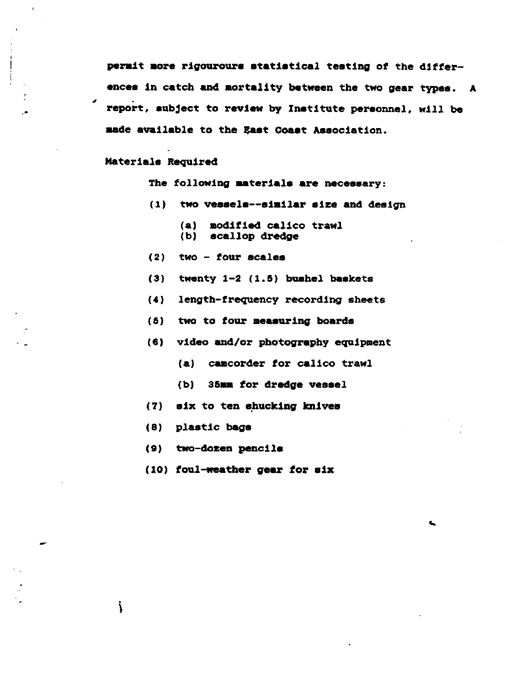**perait aore** rigouroure **statistical** testing of the differences in catch and mortality between the two gear types. A report, aubject to review by Institute personnel, will be aade available to the gast Coaat Association.

#### Materials Required

,

The following **aaterials are** necessary:

- (1) two vessels--similar size and design
	- (a) modified calico trawl<br>(b) scallop dredge scallop dredge
	-
- (2) two four scales
- (3) twenty 1-2 (1.5) bushel baskets
- **(4)** length-frequency recording sheets
- (Ii) two to four **measuring** boards
- (6) video and/or photography equipment
	- (a) camcorder for calico trawl

..

- (b) 35xm for dredge vessel
- (7) six to ten ehucking **knivea**
- (8) plastic bags

į

- (9) two-dozen pencils
- $(10)$  foul-weather gear for six